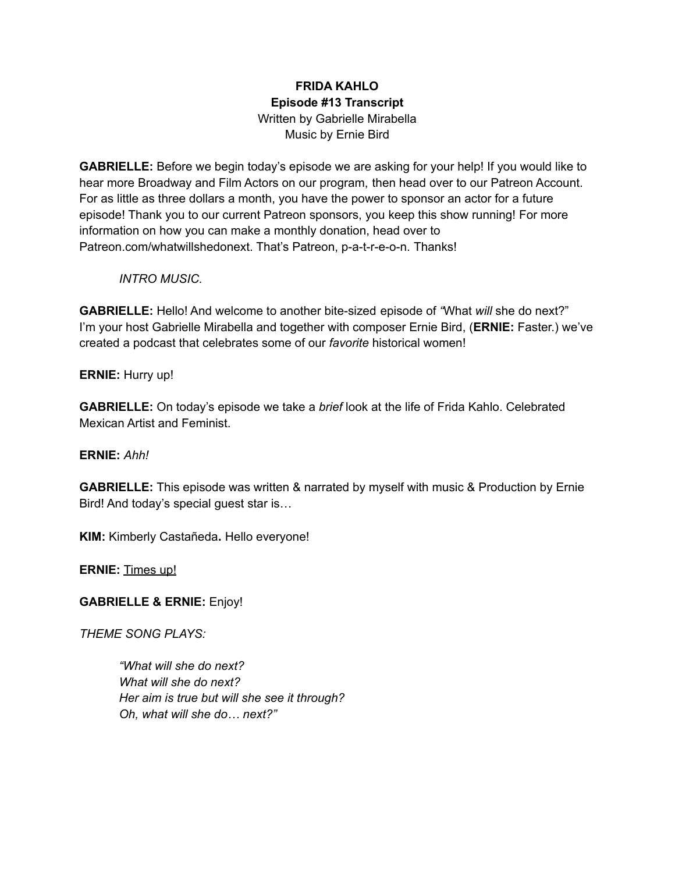## **FRIDA KAHLO Episode #13 Transcript** Written by Gabrielle Mirabella Music by Ernie Bird

**GABRIELLE:** Before we begin today's episode we are asking for your help! If you would like to hear more Broadway and Film Actors on our program, then head over to our Patreon Account. For as little as three dollars a month, you have the power to sponsor an actor for a future episode! Thank you to our current Patreon sponsors, you keep this show running! For more information on how you can make a monthly donation, head over to Patreon.com/whatwillshedonext. That's Patreon, p-a-t-r-e-o-n. Thanks!

*INTRO MUSIC.*

**GABRIELLE:** Hello! And welcome to another bite-sized episode of *"*What *will* she do next?" I'm your host Gabrielle Mirabella and together with composer Ernie Bird, (**ERNIE:** Faster.) we've created a podcast that celebrates some of our *favorite* historical women!

**ERNIE:** Hurry up!

**GABRIELLE:** On today's episode we take a *brief* look at the life of Frida Kahlo. Celebrated Mexican Artist and Feminist.

**ERNIE:** *Ahh!*

**GABRIELLE:** This episode was written & narrated by myself with music & Production by Ernie Bird! And today's special guest star is…

**KIM:** Kimberly Castañeda**.** Hello everyone!

**ERNIE:** Times up!

**GABRIELLE & ERNIE:** Enjoy!

*THEME SONG PLAYS:*

*"What will she do next? What will she do next? Her aim is true but will she see it through? Oh, what will she do… next?"*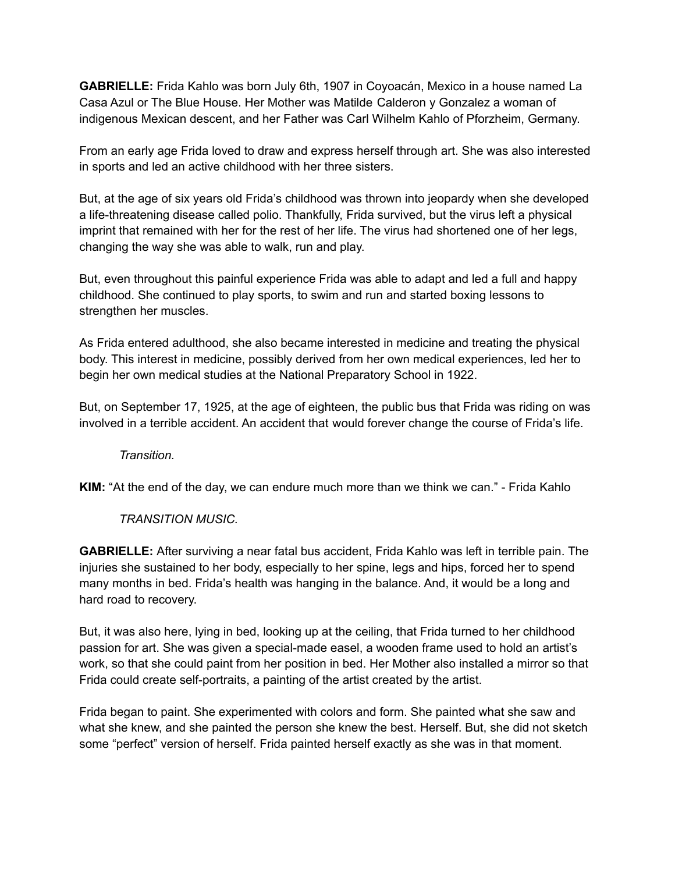**GABRIELLE:** Frida Kahlo was born July 6th, 1907 in Coyoacán, Mexico in a house named La Casa Azul or The Blue House. Her Mother was Matilde Calderon y Gonzalez a woman of indigenous Mexican descent, and her Father was Carl Wilhelm Kahlo of Pforzheim, Germany.

From an early age Frida loved to draw and express herself through art. She was also interested in sports and led an active childhood with her three sisters.

But, at the age of six years old Frida's childhood was thrown into jeopardy when she developed a life-threatening disease called polio. Thankfully, Frida survived, but the virus left a physical imprint that remained with her for the rest of her life. The virus had shortened one of her legs, changing the way she was able to walk, run and play.

But, even throughout this painful experience Frida was able to adapt and led a full and happy childhood. She continued to play sports, to swim and run and started boxing lessons to strengthen her muscles.

As Frida entered adulthood, she also became interested in medicine and treating the physical body. This interest in medicine, possibly derived from her own medical experiences, led her to begin her own medical studies at the National Preparatory School in 1922.

But, on September 17, 1925, at the age of eighteen, the public bus that Frida was riding on was involved in a terrible accident. An accident that would forever change the course of Frida's life.

*Transition.*

**KIM:** "At the end of the day, we can endure much more than we think we can." - Frida Kahlo

## *TRANSITION MUSIC.*

**GABRIELLE:** After surviving a near fatal bus accident, Frida Kahlo was left in terrible pain. The injuries she sustained to her body, especially to her spine, legs and hips, forced her to spend many months in bed. Frida's health was hanging in the balance. And, it would be a long and hard road to recovery.

But, it was also here, lying in bed, looking up at the ceiling, that Frida turned to her childhood passion for art. She was given a special-made easel, a wooden frame used to hold an artist's work, so that she could paint from her position in bed. Her Mother also installed a mirror so that Frida could create self-portraits, a painting of the artist created by the artist.

Frida began to paint. She experimented with colors and form. She painted what she saw and what she knew, and she painted the person she knew the best. Herself. But, she did not sketch some "perfect" version of herself. Frida painted herself exactly as she was in that moment.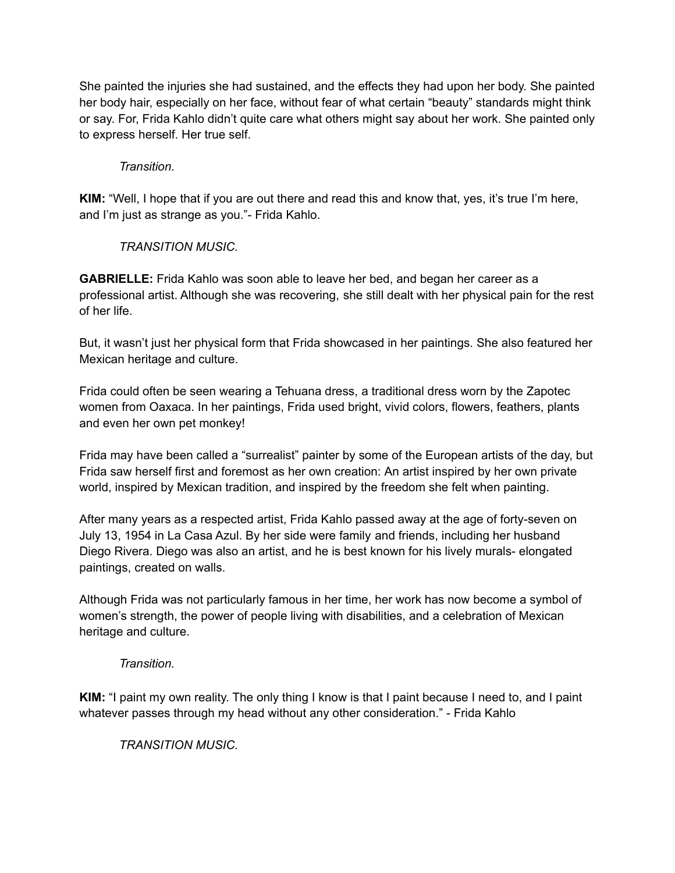She painted the injuries she had sustained, and the effects they had upon her body. She painted her body hair, especially on her face, without fear of what certain "beauty" standards might think or say. For, Frida Kahlo didn't quite care what others might say about her work. She painted only to express herself. Her true self.

## *Transition.*

**KIM:** "Well, I hope that if you are out there and read this and know that, yes, it's true I'm here, and I'm just as strange as you."- Frida Kahlo.

## *TRANSITION MUSIC.*

**GABRIELLE:** Frida Kahlo was soon able to leave her bed, and began her career as a professional artist. Although she was recovering, she still dealt with her physical pain for the rest of her life.

But, it wasn't just her physical form that Frida showcased in her paintings. She also featured her Mexican heritage and culture.

Frida could often be seen wearing a Tehuana dress, a traditional dress worn by the Zapotec women from Oaxaca. In her paintings, Frida used bright, vivid colors, flowers, feathers, plants and even her own pet monkey!

Frida may have been called a "surrealist" painter by some of the European artists of the day, but Frida saw herself first and foremost as her own creation: An artist inspired by her own private world, inspired by Mexican tradition, and inspired by the freedom she felt when painting.

After many years as a respected artist, Frida Kahlo passed away at the age of forty-seven on July 13, 1954 in La Casa Azul. By her side were family and friends, including her husband Diego Rivera. Diego was also an artist, and he is best known for his lively murals- elongated paintings, created on walls.

Although Frida was not particularly famous in her time, her work has now become a symbol of women's strength, the power of people living with disabilities, and a celebration of Mexican heritage and culture.

*Transition.*

**KIM:** "I paint my own reality. The only thing I know is that I paint because I need to, and I paint whatever passes through my head without any other consideration." - Frida Kahlo

*TRANSITION MUSIC.*